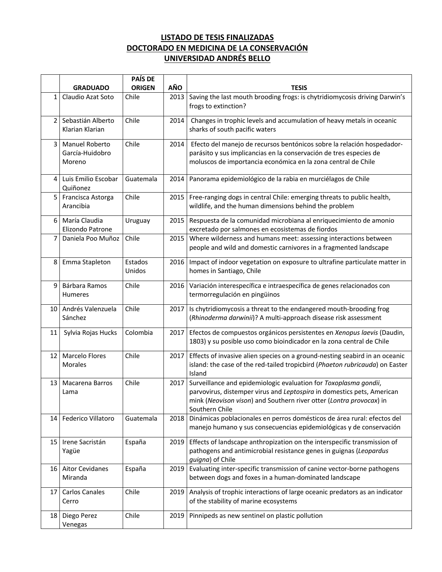## **LISTADO DE TESIS FINALIZADAS DOCTORADO EN MEDICINA DE LA CONSERVACIÓN UNIVERSIDAD ANDRÉS BELLO**

|                 |                                             | <b>PAÍS DE</b>    |      |                                                                                                                                                                                                                                     |
|-----------------|---------------------------------------------|-------------------|------|-------------------------------------------------------------------------------------------------------------------------------------------------------------------------------------------------------------------------------------|
|                 | <b>GRADUADO</b>                             | <b>ORIGEN</b>     | AÑO  | <b>TESIS</b>                                                                                                                                                                                                                        |
| $\mathbf{1}$    | Claudio Azat Soto                           | Chile             | 2013 | Saving the last mouth brooding frogs: is chytridiomycosis driving Darwin's<br>frogs to extinction?                                                                                                                                  |
| 2 <sup>1</sup>  | Sebastián Alberto<br>Klarian Klarian        | Chile             | 2014 | Changes in trophic levels and accumulation of heavy metals in oceanic<br>sharks of south pacific waters                                                                                                                             |
| 3               | Manuel Roberto<br>García-Huidobro<br>Moreno | Chile             | 2014 | Efecto del manejo de recursos bentónicos sobre la relación hospedador-<br>parásito y sus implicancias en la conservación de tres especies de<br>moluscos de importancia económica en la zona central de Chile                       |
| 4 I             | Luis Emilio Escobar<br>Quiñonez             | Guatemala         | 2014 | Panorama epidemiológico de la rabia en murciélagos de Chile                                                                                                                                                                         |
| 5 <sub>1</sub>  | Francisca Astorga<br>Arancibia              | Chile             | 2015 | Free-ranging dogs in central Chile: emerging threats to public health,<br>wildlife, and the human dimensions behind the problem                                                                                                     |
| 6               | María Claudia<br>Elizondo Patrone           | Uruguay           | 2015 | Respuesta de la comunidad microbiana al enriquecimiento de amonio<br>excretado por salmones en ecosistemas de fiordos                                                                                                               |
| 7 <sup>1</sup>  | Daniela Poo Muñoz                           | Chile             | 2015 | Where wilderness and humans meet: assessing interactions between<br>people and wild and domestic carnivores in a fragmented landscape                                                                                               |
| 8               | Emma Stapleton                              | Estados<br>Unidos | 2016 | Impact of indoor vegetation on exposure to ultrafine particulate matter in<br>homes in Santiago, Chile                                                                                                                              |
| 9               | Bárbara Ramos<br><b>Humeres</b>             | Chile             | 2016 | Variación interespecífica e intraespecífica de genes relacionados con<br>termorregulación en pingüinos                                                                                                                              |
| 10 I            | Andrés Valenzuela<br>Sánchez                | Chile             | 2017 | Is chytridiomycosis a threat to the endangered mouth-brooding frog<br>(Rhinoderma darwinii)? A multi-approach disease risk assessment                                                                                               |
| 11              | Sylvia Rojas Hucks                          | Colombia          | 2017 | Efectos de compuestos orgánicos persistentes en Xenopus laevis (Daudin,<br>1803) y su posible uso como bioindicador en la zona central de Chile                                                                                     |
| 12 <sub>1</sub> | <b>Marcelo Flores</b><br>Morales            | Chile             | 2017 | Effects of invasive alien species on a ground-nesting seabird in an oceanic<br>island: the case of the red-tailed tropicbird (Phaeton rubricauda) on Easter<br>Island                                                               |
| 13              | Macarena Barros<br>Lama                     | Chile             | 2017 | Surveillance and epidemiologic evaluation for Toxoplasma gondii,<br>parvovirus, distemper virus and Leptospira in domestics pets, American<br>mink (Neovison vison) and Southern river otter (Lontra provocax) in<br>Southern Chile |
| 14              | Federico Villatoro                          | Guatemala         | 2018 | Dinámicas poblacionales en perros domésticos de área rural: efectos del<br>manejo humano y sus consecuencias epidemiológicas y de conservación                                                                                      |
| 15 <sub>1</sub> | Irene Sacristán<br>Yagüe                    | España            | 2019 | Effects of landscape anthropization on the interspecific transmission of<br>pathogens and antimicrobial resistance genes in guignas (Leopardus<br>guigna) of Chile                                                                  |
| 16 I            | <b>Aitor Cevidanes</b><br>Miranda           | España            | 2019 | Evaluating inter-specific transmission of canine vector-borne pathogens<br>between dogs and foxes in a human-dominated landscape                                                                                                    |
| 17              | <b>Carlos Canales</b><br>Cerro              | Chile             | 2019 | Analysis of trophic interactions of large oceanic predators as an indicator<br>of the stability of marine ecosystems                                                                                                                |
| 18              | Diego Perez<br>Venegas                      | Chile             | 2019 | Pinnipeds as new sentinel on plastic pollution                                                                                                                                                                                      |